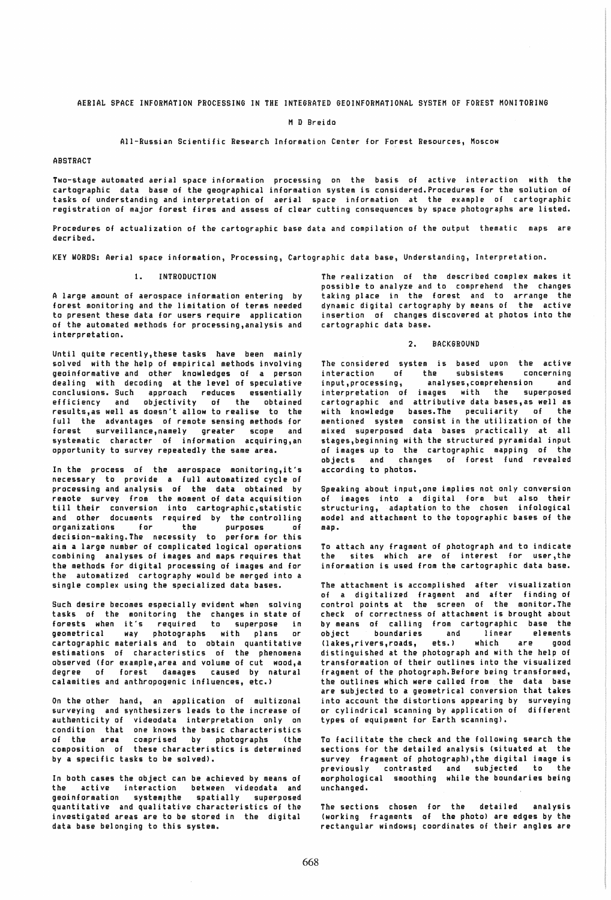M D Breido

#### All-Russian Scientific Research Information Center for Forest Resources, Moscow

### ABSTRACT

Two-stage automated aerial space information processing on the basis of active interaction with the cartographic data base of the geographical information system is considered. Procedures for the solution of tasks of understanding and interpretation of aerial space information at the example of cartographic registration of major forest fires and assess of clear cutting consequences by space photographs are listed.

Procedures of actualization of the cartographic base data and compilation of the output thematic maps are decribed.

KEY WORDS: Aerial space information, Processing, Cartographic data base, Understanding, Interpretation.

#### 1. INTRODUCTION

A large amount of aerospace information entering by forest monitoring and the limitation of terms needed to present these data for users require application of the automated methods for processing,analysis and interpretation.

Until quite recently,these tasks have been mainly solved with the help of empirical methods involving geoinformative and other knowledges of a person dealing with decoding at the level of speculative conclusions. Such approach reduces essentially efficiency and objectivity of the obtained results,as well as doesn't allow to realise to the full the advantages of remote sensing methods for forest surveillance,namely greater scope and systematic character of information acquiring,an opportunity to survey repeatedly the same area.

In the process of the aerospace monitoring,it's necessary to provide a full automatized cycle of processing and analysis of the data obtained by remote survey from the moment of data acquisition till their conversion into cartographic,statistic and other documents required by the controlling organizations for the purposes of decision-making. The necessity to perform for this aim a large number of complicated logical operations combining analyses of images and maps requires that the methods for digital processing of images and for the automatized cartography would be merged into a single complex using the specialized data bases.

Such desire becomes especially evident when solving tasks of the monitoring the changes in state of forests when it's required to superpose in geometrical way photographs with plans or cartographic materials and to obtain quantitative estimations of characteristics of the phenomena observed (for example,area and volume of cut wood,a degree of forest damages caused by natural calamities and anthropogenic influences, etc.)

On the other hand, an application of multizonal surveying and synthesizers leads to the increase of authenticity of videodata interpretation only on condition that one knows the basic characteristics of the area comprised by photographs (the composition of these characteristics is determined by a specific tasks to be solved).

In both cases the object can be achieved by means of the active interaction between videodata and geoinformation system;the spatially superposed quantitative and qualitative characteristics of the investigated areas are to be stored in the digital data base belonging to this system.

The realization of the described complex makes it possible to analyze and to comprehend the changes taking place in the forest and to arrange the dynamic digital cartography by means of the active insertion of changes discovered at photos into the cartographic data base.

## 2. BACKGROUND

The considered system is based upon the active<br>interaction of the subsistems concerning interaction of the input,processing, analyses,comprehension and interpretation of images with the superposed cartographic and attributive data bases,as well as with knowledge bases. The peculiarity of the mentioned system consist in the utilization of the mixed superposed data bases practically at all stages,beginning with the structured pyramidal input of images up to the cartographic mapping of the objects and changes of forest fund revealed according to photos.

Speaking about input,one implies not only conversion of images into a digital form but also their structuring, adaptation to the chosen in£010g1cal model and attachment to the topographic bases of the map.

To attach any fragment of photograph and to indicate the sites which are of interest for user,the information is used from the cartographic data base.

The attachment is accomplished after visualization of a digitalized fragment and after finding of control points at the screen of the monitor.The check of correctness of attachment is brought about by means of calling from cartographic base the<br>object boundaries and linear elements object boundaries and linear elements<br>(lakes.rivers.roads. ets.) which are good (lakes,rivers,roads, ets.) distinguished at the photograph and with the help of transformation of their outlines into the visualized fragment of the photograph. Before being transformed, the outlines which were called from the data base are subjected to a geometrical conversion that takes into account the distortions appearing by surveying or cylindrical scanning by application of different types of equipment for Earth scanning).

To facilitate the check and the following search the sections for the detailed analysis (situated at the survey fragment of photograph) ,the digital image is previously contrasted and subjected to the morphological smoothing while the boundaries being unchanged.

The sections chosen for the detailed analysis (working fragments of the photo) are edges by the rectangular windows; coordinates of their angles are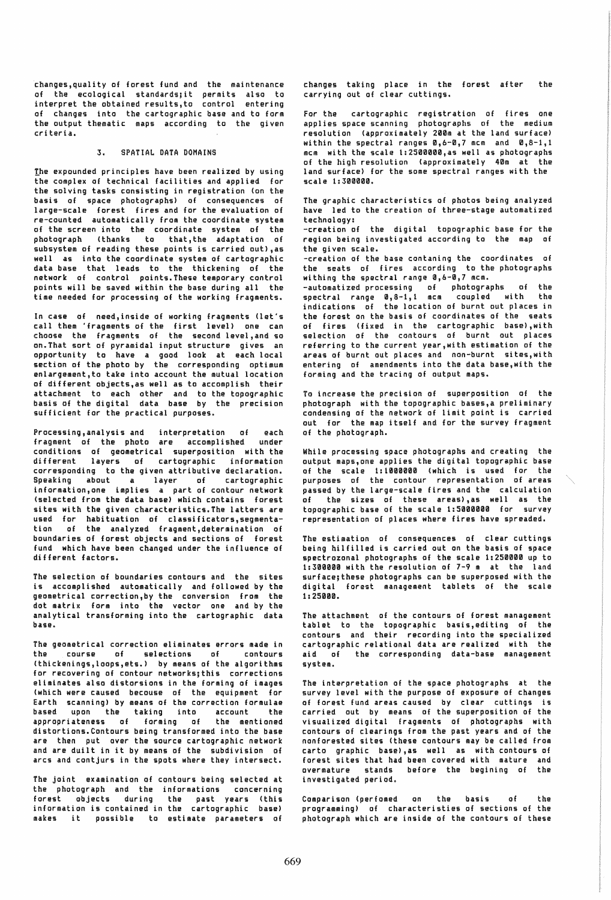changes,quality of forest fund and the maintenance of the ecological standards;it permits also to interpret the obtained results,to control entering of changes into the cartographic base and to form the output thematic maps according to the given criteria.

# 3. SPATIAL DATA DOMAINS

the expounded principles have been realized by using the complex of technical facilities and applied for the solving tasks consisting in registration (on the basis of space photographs) of consequences of large-scale forest fires and for the evaluation of re-counted automatically from the coordinate system of the screen into the coordinate system of the photograph (thanks to that,the adaptation of subsystem of reading these points is carried out),as well as into the coordinate system of cartographic data base that leads to the thickening of the network of control points.These temporary control points will be saved within the base during all the time needed for processing of the working fragments.

In case of need,inside of working fragments (let's call them 'fragments of the first level) one can choose the fragments of the second level,and so on. That sort of pyramidal input structure gives an opportunity to have a good look at each local section of the photo by the corresponding optimum enlargement,to take into account the mutual location of different objects,as well as to accomplish their attachment to each other and to the topographic basis of the digital data base by the precision sufficient for the practical purposes.

Processing,analysis and interpretation of each fragment of the photo are accomplished under conditions of geometrical superposition with the different layers of cartographic information corresponding to the given attributive declaration. Speaking about a layer of cartographic iniormation,one implies a part of contour network (selected from the data base) which contains forest sites with the given characteristics. The latters are used for habituation of classificators,segmentation of the analyzed fragment,determination of boundaries of forest objects and sections of forest fund which have been changed under the influence of different factors.

The selection of boundaries contours and the sites is accomplished automatically and followed by the geometrical correction,by the conversion from the dot matrix form into the vector one and by the analytical transforming into the cartographic data base.

The geometrical correction eliminates errors made in<br>the course of selections of contours course of selections of (thickenings,loops,ets.) by means of the algorithms for recovering of contour networks;this corrections eliminates also distorsions in the forming of images (which were caused becouse of the eqUipment for Earth scanning) by means of the correction formulae based upon the taking into account the appropriateness of forming of the mentioned distortions. Contours being transformed into the base are then put over the source cartographic network and are duilt in it by means of the subdivision of arcs and contjurs in the spots where they intersect.

The joint examination of contours being selected at the photograph and the informations concerning forest objects during information is contained in makes it possible to estimate parameters of the past years (this the cartographic base)

changes taking place in the forest after the carrying out of clear cuttings.

For the cartographic registration of fires one applies space scanning photographs of the medium resolution (approximately 200m at the land surface) within the spectral ranges  $0.6-0.7$  mcm and  $0.8-1.1$ mcm with the scale 1:2500000,as well as photographs of the high resolution (approximately 40m at the land surface) for the some spectral ranges with the scale 1:300000.

The graphic characteristics of photos being analyzed have led to the creation of three-stage automatized technology:

-creation of the digital topographic base for the region being investigated according to the map of the given scale.

-creation of the base cantaning the coordinates of the seats of fires according to the photographs withing the spectral range 0.6-0.7 mcm.

-automatized processing of photographs of the spectral range 0,8-1,1 mcm coupled with the indications of the location of burnt out places in the forest on the basis of coordinates of the seats of fires (fixed in the cartographic base),with selection of the contours of burnt out places referring to the current year,with estimation of the areas of burnt out places and non-burnt sites,with entering of amendments into the data base,with the forming and the tracing of output maps.

To increase the precision of superposition of the photograph with the topographic bases,a preliminary condensing of the network of limit point is carried out for the map itself and for the survey fragment of the photograph.

While processing space photographs and creating the output maps,one applies the digital topographic base of the scale 1:1000000 (which is used for the<br>ourooses of the contour representation of areas purposes of the contour representation passed by the large-scale fires and the calculation of the sizes of these areas),as well as the topographic base of the scale 1:5000000 for survey representation of places where fires have spreaded.

The estimation of consequences of clear cuttings being hilfilled is carried out on the basis of space spectrozonal photographs of the scale 1:250000 up to 1:300000 with the resolution of 7-9 m at the land surface;these photographs can be superposed with the digital forest management tablets of the scale 1:25000.

The attachment of the contours of forest management tablet to the topographic basis,editing of the contours and their recording into the specialized cartographiC relational data are realized with the aid of the corresponding data-base management system.

The interpretation of the space photographs at the survey level with the purpose of exposure of changes of forest fund areas caused by clear cuttings is carried out by means of the superposition of the visualized digital fragments of photographs with contours of clearings from the past years and of the non forested sites (these contours may be called from car to graphic base),as well as with contours of forest sites that had been covered with mature and over mature stands before the begining of the investigated period.

Comparison (perfomed on the basis of the programming) of characteristies of sections of the photograph which are inside of the contours of these